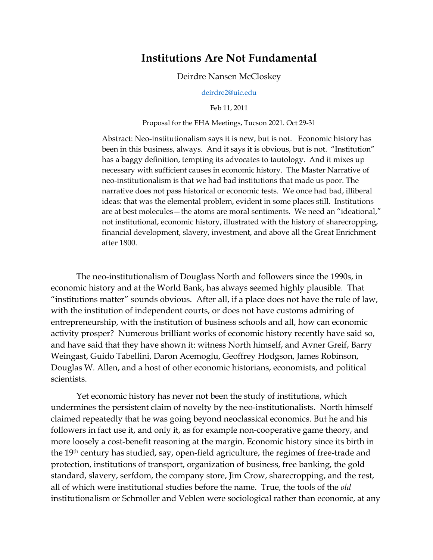## **Institutions Are Not Fundamental**

Deirdre Nansen McCloskey

[deirdre2@uic.edu](mailto:deirdre2@uic.edu)

Feb 11, 2011

Proposal for the EHA Meetings, Tucson 2021. Oct 29-31

Abstract: Neo-institutionalism says it is new, but is not. Economic history has been in this business, always. And it says it is obvious, but is not. "Institution" has a baggy definition, tempting its advocates to tautology. And it mixes up necessary with sufficient causes in economic history. The Master Narrative of neo-institutionalism is that we had bad institutions that made us poor. The narrative does not pass historical or economic tests. We once had bad, illiberal ideas: that was the elemental problem, evident in some places still. Institutions are at best molecules—the atoms are moral sentiments. We need an "ideational," not institutional, economic history, illustrated with the history of sharecropping, financial development, slavery, investment, and above all the Great Enrichment after 1800.

The neo-institutionalism of Douglass North and followers since the 1990s, in economic history and at the World Bank, has always seemed highly plausible. That "institutions matter" sounds obvious. After all, if a place does not have the rule of law, with the institution of independent courts, or does not have customs admiring of entrepreneurship, with the institution of business schools and all, how can economic activity prosper? Numerous brilliant works of economic history recently have said so, and have said that they have shown it: witness North himself, and Avner Greif, Barry Weingast, Guido Tabellini, Daron Acemoglu, Geoffrey Hodgson, James Robinson, Douglas W. Allen, and a host of other economic historians, economists, and political scientists.

Yet economic history has never not been the study of institutions, which undermines the persistent claim of novelty by the neo-institutionalists. North himself claimed repeatedly that he was going beyond neoclassical economics. But he and his followers in fact use it, and only it, as for example non-cooperative game theory, and more loosely a cost-benefit reasoning at the margin. Economic history since its birth in the 19th century has studied, say, open-field agriculture, the regimes of free-trade and protection, institutions of transport, organization of business, free banking, the gold standard, slavery, serfdom, the company store, Jim Crow, sharecropping, and the rest, all of which were institutional studies before the name. True, the tools of the *old* institutionalism or Schmoller and Veblen were sociological rather than economic, at any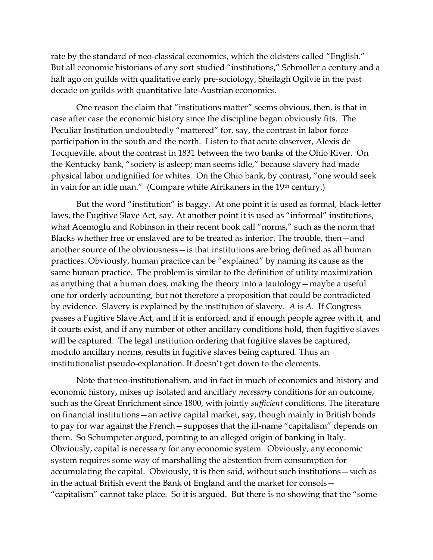rate by the standard of neo-classical economics, which the oldsters called "English." But all economic historians of any sort studied "institutions," Schmoller a century and a half ago on guilds with qualitative early pre-sociology, Sheilagh Ogilvie in the past decade on guilds with quantitative late-Austrian economics.

One reason the claim that "institutions matter" seems obvious, then, is that in case after case the economic history since the discipline began obviously fits. The Peculiar Institution undoubtedly "mattered" for, say, the contrast in labor force participation in the south and the north. Listen to that acute observer, Alexis de Tocqueville, about the contrast in 1831 between the two banks of the Ohio River. On the Kentucky bank, "society is asleep; man seems idle," because slavery had made physical labor undignified for whites. On the Ohio bank, by contrast, "one would seek in vain for an idle man." (Compare white Afrikaners in the 19<sup>th</sup> century.)

But the word "institution" is baggy. At one point it is used as formal, black-letter laws, the Fugitive Slave Act, say. At another point it is used as "informal" institutions, what Acemoglu and Robinson in their recent book call "norms," such as the norm that Blacks whether free or enslaved are to be treated as inferior. The trouble, then—and another source of the obviousness—is that institutions are bring defined as all human practices. Obviously, human practice can be "explained" by naming its cause as the same human practice. The problem is similar to the definition of utility maximization as anything that a human does, making the theory into a tautology—maybe a useful one for orderly accounting, but not therefore a proposition that could be contradicted by evidence. Slavery is explained by the institution of slavery. *A* is *A*. If Congress passes a Fugitive Slave Act, and if it is enforced, and if enough people agree with it, and if courts exist, and if any number of other ancillary conditions hold, then fugitive slaves will be captured. The legal institution ordering that fugitive slaves be captured, modulo ancillary norms, results in fugitive slaves being captured. Thus an institutionalist pseudo-explanation. It doesn't get down to the elements.

Note that neo-institutionalism, and in fact in much of economics and history and economic history, mixes up isolated and ancillary *necessary* conditions for an outcome, such as the Great Enrichment since 1800, with jointly *sufficient* conditions. The literature on financial institutions—an active capital market, say, though mainly in British bonds to pay for war against the French—supposes that the ill-name "capitalism" depends on them. So Schumpeter argued, pointing to an alleged origin of banking in Italy. Obviously, capital is necessary for any economic system. Obviously, any economic system requires some way of marshalling the abstention from consumption for accumulating the capital. Obviously, it is then said, without such institutions—such as in the actual British event the Bank of England and the market for consols— "capitalism" cannot take place. So it is argued. But there is no showing that the "some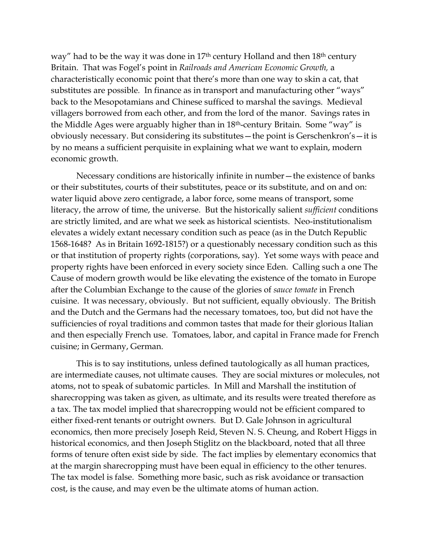way" had to be the way it was done in 17<sup>th</sup> century Holland and then 18<sup>th</sup> century Britain. That was Fogel's point in *Railroads and American Economic Growth,* a characteristically economic point that there's more than one way to skin a cat, that substitutes are possible*.* In finance as in transport and manufacturing other "ways" back to the Mesopotamians and Chinese sufficed to marshal the savings. Medieval villagers borrowed from each other, and from the lord of the manor. Savings rates in the Middle Ages were arguably higher than in 18th-century Britain. Some "way" is obviously necessary. But considering its substitutes—the point is Gerschenkron's—it is by no means a sufficient perquisite in explaining what we want to explain, modern economic growth.

Necessary conditions are historically infinite in number—the existence of banks or their substitutes, courts of their substitutes, peace or its substitute, and on and on: water liquid above zero centigrade, a labor force, some means of transport, some literacy, the arrow of time, the universe. But the historically salient *sufficient* conditions are strictly limited, and are what we seek as historical scientists. Neo-institutionalism elevates a widely extant necessary condition such as peace (as in the Dutch Republic 1568-1648? As in Britain 1692-1815?) or a questionably necessary condition such as this or that institution of property rights (corporations, say). Yet some ways with peace and property rights have been enforced in every society since Eden. Calling such a one The Cause of modern growth would be like elevating the existence of the tomato in Europe after the Columbian Exchange to the cause of the glories of *sauce tomate* in French cuisine. It was necessary, obviously. But not sufficient, equally obviously. The British and the Dutch and the Germans had the necessary tomatoes, too, but did not have the sufficiencies of royal traditions and common tastes that made for their glorious Italian and then especially French use. Tomatoes, labor, and capital in France made for French cuisine; in Germany, German.

This is to say institutions, unless defined tautologically as all human practices, are intermediate causes, not ultimate causes. They are social mixtures or molecules, not atoms, not to speak of subatomic particles. In Mill and Marshall the institution of sharecropping was taken as given, as ultimate, and its results were treated therefore as a tax. The tax model implied that sharecropping would not be efficient compared to either fixed-rent tenants or outright owners. But D. Gale Johnson in agricultural economics, then more precisely Joseph Reid, Steven N. S. Cheung, and Robert Higgs in historical economics, and then Joseph Stiglitz on the blackboard, noted that all three forms of tenure often exist side by side. The fact implies by elementary economics that at the margin sharecropping must have been equal in efficiency to the other tenures. The tax model is false. Something more basic, such as risk avoidance or transaction cost, is the cause, and may even be the ultimate atoms of human action.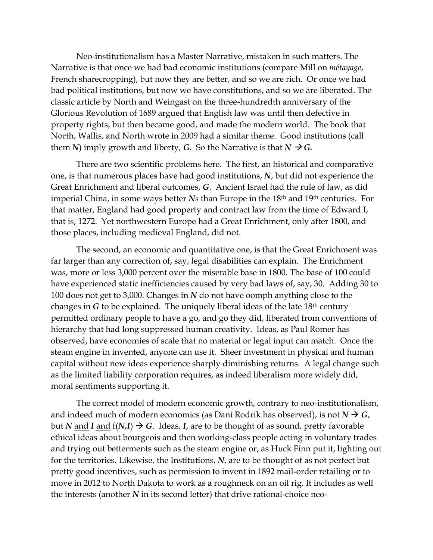Neo-institutionalism has a Master Narrative, mistaken in such matters. The Narrative is that once we had bad economic institutions (compare Mill on *métayage*, French sharecropping), but now they are better, and so we are rich. Or once we had bad political institutions, but now we have constitutions, and so we are liberated. The classic article by North and Weingast on the three-hundredth anniversary of the Glorious Revolution of 1689 argued that English law was until then defective in property rights, but then became good, and made the modern world. The book that North, Wallis, and North wrote in 2009 had a similar theme. Good institutions (call them *N*) imply growth and liberty, *G*. So the Narrative is that  $N \rightarrow G$ .

There are two scientific problems here. The first, an historical and comparative one, is that numerous places have had good institutions, *N*, but did not experience the Great Enrichment and liberal outcomes, *G*. Ancient Israel had the rule of law, as did imperial China, in some ways better *Ns* than Europe in the 18th and 19th centuries. For that matter, England had good property and contract law from the time of Edward I, that is, 1272. Yet northwestern Europe had a Great Enrichment, only after 1800, and those places, including medieval England, did not.

The second, an economic and quantitative one, is that the Great Enrichment was far larger than any correction of, say, legal disabilities can explain. The Enrichment was, more or less 3,000 percent over the miserable base in 1800. The base of 100 could have experienced static inefficiencies caused by very bad laws of, say, 30. Adding 30 to 100 does not get to 3,000. Changes in *N* do not have oomph anything close to the changes in *G* to be explained. The uniquely liberal ideas of the late 18<sup>th</sup> century permitted ordinary people to have a go, and go they did, liberated from conventions of hierarchy that had long suppressed human creativity. Ideas, as Paul Romer has observed, have economies of scale that no material or legal input can match. Once the steam engine in invented, anyone can use it. Sheer investment in physical and human capital without new ideas experience sharply diminishing returns. A legal change such as the limited liability corporation requires, as indeed liberalism more widely did, moral sentiments supporting it.

The correct model of modern economic growth, contrary to neo-institutionalism, and indeed much of modern economics (as Dani Rodrik has observed), is not  $N \rightarrow G$ , but *N* and *I* and  $f(N,I) \rightarrow G$ . Ideas, *I*, are to be thought of as sound, pretty favorable ethical ideas about bourgeois and then working-class people acting in voluntary trades and trying out betterments such as the steam engine or, as Huck Finn put it, lighting out for the territories. Likewise, the Institutions, *N*, are to be thought of as not perfect but pretty good incentives, such as permission to invent in 1892 mail-order retailing or to move in 2012 to North Dakota to work as a roughneck on an oil rig. It includes as well the interests (another *N* in its second letter) that drive rational-choice neo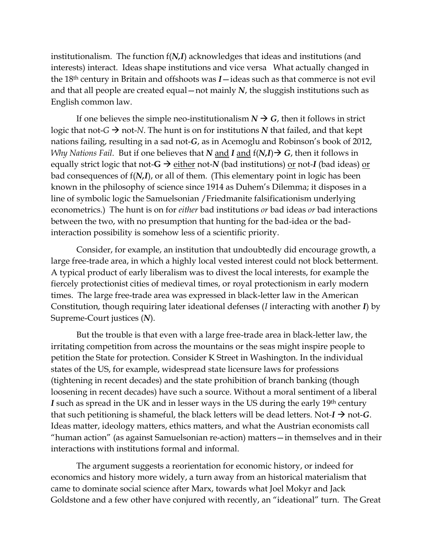institutionalism. The function f(*N,I*) acknowledges that ideas and institutions (and interests) interact. Ideas shape institutions and vice versa What actually changed in the 18th century in Britain and offshoots was *I*—ideas such as that commerce is not evil and that all people are created equal—not mainly *N*, the sluggish institutions such as English common law.

If one believes the simple neo-institutionalism  $N \rightarrow G$ , then it follows in strict logic that not- $G \rightarrow$  not-*N*. The hunt is on for institutions *N* that failed, and that kept nations failing, resulting in a sad not-*G*, as in Acemoglu and Robinson's book of 2012, *Why Nations Fail.* But if one believes that *N* and *I* and  $f(N,I) \rightarrow G$ , then it follows in equally strict logic that not- $G \rightarrow$  either not-*N* (bad institutions) or not-*I* (bad ideas) or bad consequences of f(*N,I*), or all of them. (This elementary point in logic has been known in the philosophy of science since 1914 as Duhem's Dilemma; it disposes in a line of symbolic logic the Samuelsonian /Friedmanite falsificationism underlying econometrics.) The hunt is on for *either* bad institutions *or* bad ideas *or* bad interactions between the two, with no presumption that hunting for the bad-idea or the badinteraction possibility is somehow less of a scientific priority.

Consider, for example, an institution that undoubtedly did encourage growth, a large free-trade area, in which a highly local vested interest could not block betterment. A typical product of early liberalism was to divest the local interests, for example the fiercely protectionist cities of medieval times, or royal protectionism in early modern times. The large free-trade area was expressed in black-letter law in the American Constitution, though requiring later ideational defenses (*I* interacting with another *I*) by Supreme-Court justices (*N*).

But the trouble is that even with a large free-trade area in black-letter law, the irritating competition from across the mountains or the seas might inspire people to petition the State for protection. Consider K Street in Washington. In the individual states of the US, for example, widespread state licensure laws for professions (tightening in recent decades) and the state prohibition of branch banking (though loosening in recent decades) have such a source. Without a moral sentiment of a liberal *I* such as spread in the UK and in lesser ways in the US during the early 19<sup>th</sup> century that such petitioning is shameful, the black letters will be dead letters. Not- $I \rightarrow$  not- $G$ . Ideas matter, ideology matters, ethics matters, and what the Austrian economists call "human action" (as against Samuelsonian re-action) matters—in themselves and in their interactions with institutions formal and informal.

The argument suggests a reorientation for economic history, or indeed for economics and history more widely, a turn away from an historical materialism that came to dominate social science after Marx, towards what Joel Mokyr and Jack Goldstone and a few other have conjured with recently, an "ideational" turn. The Great